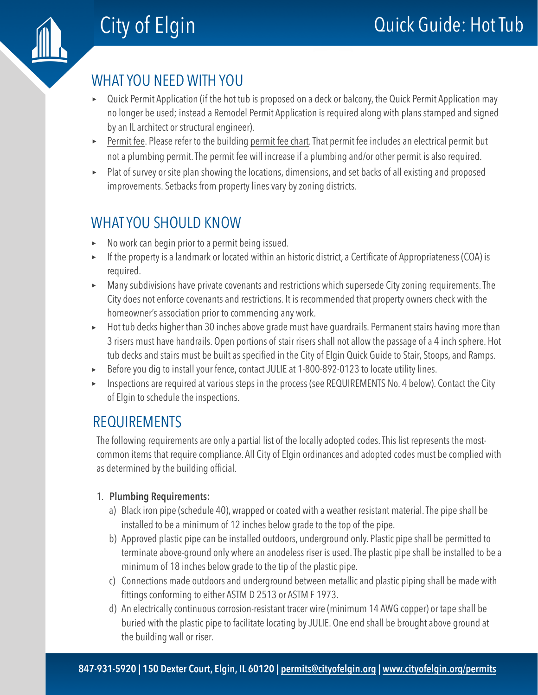## WHAT YOU NEED WITH YOU

- ‣ Quick Permit Application (if the hot tub is proposed on a deck or balcony, the Quick Permit Application may no longer be used; instead a Remodel Permit Application is required along with plans stamped and signed by an IL architect or structural engineer).
- ‣ [Permit fee.](https://www.cityofelgin.org/permitfees) Please refer to the building [permit fee chart](https://www.cityofelgin.org/permitfees). That permit fee includes an electrical permit but not a plumbing permit. The permit fee will increase if a plumbing and/or other permit is also required.
- ‣ Plat of survey or site plan showing the locations, dimensions, and set backs of all existing and proposed improvements. Setbacks from property lines vary by zoning districts.

# WHAT YOU SHOULD KNOW

- ‣ No work can begin prior to a permit being issued.
- ‣ If the property is a landmark or located within an historic district, a Certificate of Appropriateness (COA) is required.
- ‣ Many subdivisions have private covenants and restrictions which supersede City zoning requirements. The City does not enforce covenants and restrictions. It is recommended that property owners check with the homeowner's association prior to commencing any work.
- ► Hot tub decks higher than 30 inches above grade must have guardrails. Permanent stairs having more than 3 risers must have handrails. Open portions of stair risers shall not allow the passage of a 4 inch sphere. Hot tub decks and stairs must be built as specified in the City of Elgin Quick Guide to Stair, Stoops, and Ramps.
- ‣ Before you dig to install your fence, contact JULIE at 1-800-892-0123 to locate utility lines.
- ‣ Inspections are required at various steps in the process (see REQUIREMENTS No. 4 below). Contact the City of Elgin to schedule the inspections.

## REQUIREMENTS

The following requirements are only a partial list of the locally adopted codes. This list represents the mostcommon items that require compliance. All City of Elgin ordinances and adopted codes must be complied with as determined by the building official.

### 1. **Plumbing Requirements:**

- a) Black iron pipe (schedule 40), wrapped or coated with a weather resistant material. The pipe shall be installed to be a minimum of 12 inches below grade to the top of the pipe.
- b) Approved plastic pipe can be installed outdoors, underground only. Plastic pipe shall be permitted to terminate above-ground only where an anodeless riser is used. The plastic pipe shall be installed to be a minimum of 18 inches below grade to the tip of the plastic pipe.
- c) Connections made outdoors and underground between metallic and plastic piping shall be made with fittings conforming to either ASTM D 2513 or ASTM F 1973.
- d) An electrically continuous corrosion-resistant tracer wire (minimum 14 AWG copper) or tape shall be buried with the plastic pipe to facilitate locating by JULIE. One end shall be brought above ground at the building wall or riser.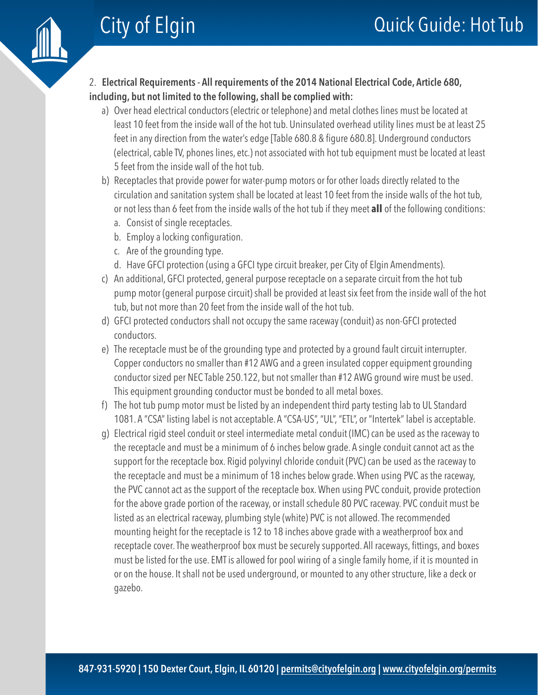

### 2. **Electrical Requirements - All requirements of the 2014 National Electrical Code, Article 680, including, but not limited to the following, shall be complied with:**

- a) Over head electrical conductors (electric or telephone) and metal clothes lines must be located at least 10 feet from the inside wall of the hot tub. Uninsulated overhead utility lines must be at least 25 feet in any direction from the water's edge [Table 680.8 & figure 680.8]. Underground conductors (electrical, cable TV, phones lines, etc.) not associated with hot tub equipment must be located at least 5 feet from the inside wall of the hot tub.
- b) Receptacles that provide power for water-pump motors or for other loads directly related to the circulation and sanitation system shall be located at least 10 feet from the inside walls of the hot tub, or not less than 6 feet from the inside walls of the hot tub if they meet **all** of the following conditions:
	- a. Consist of single receptacles.
	- b. Employ a locking configuration.
	- c. Are of the grounding type.
	- d. Have GFCI protection (using a GFCI type circuit breaker, per City of Elgin Amendments).
- c) An additional, GFCI protected, general purpose receptacle on a separate circuit from the hot tub pump motor (general purpose circuit) shall be provided at least six feet from the inside wall of the hot tub, but not more than 20 feet from the inside wall of the hot tub.
- d) GFCI protected conductors shall not occupy the same raceway (conduit) as non-GFCI protected conductors.
- e) The receptacle must be of the grounding type and protected by a ground fault circuit interrupter. Copper conductors no smaller than #12 AWG and a green insulated copper equipment grounding conductor sized per NEC Table 250.122, but not smaller than #12 AWG ground wire must be used. This equipment grounding conductor must be bonded to all metal boxes.
- f) The hot tub pump motor must be listed by an independent third party testing lab to UL Standard 1081. A "CSA" listing label is not acceptable. A "CSA-US", "UL", "ETL", or "Intertek" label is acceptable.
- g) Electrical rigid steel conduit or steel intermediate metal conduit (IMC) can be used as the raceway to the receptacle and must be a minimum of 6 inches below grade. A single conduit cannot act as the support for the receptacle box. Rigid polyvinyl chloride conduit (PVC) can be used as the raceway to the receptacle and must be a minimum of 18 inches below grade. When using PVC as the raceway, the PVC cannot act as the support of the receptacle box. When using PVC conduit, provide protection for the above grade portion of the raceway, or install schedule 80 PVC raceway. PVC conduit must be listed as an electrical raceway, plumbing style (white) PVC is not allowed. The recommended mounting height for the receptacle is 12 to 18 inches above grade with a weatherproof box and receptacle cover. The weatherproof box must be securely supported. All raceways, fittings, and boxes must be listed for the use. EMT is allowed for pool wiring of a single family home, if it is mounted in or on the house. It shall not be used underground, or mounted to any other structure, like a deck or gazebo.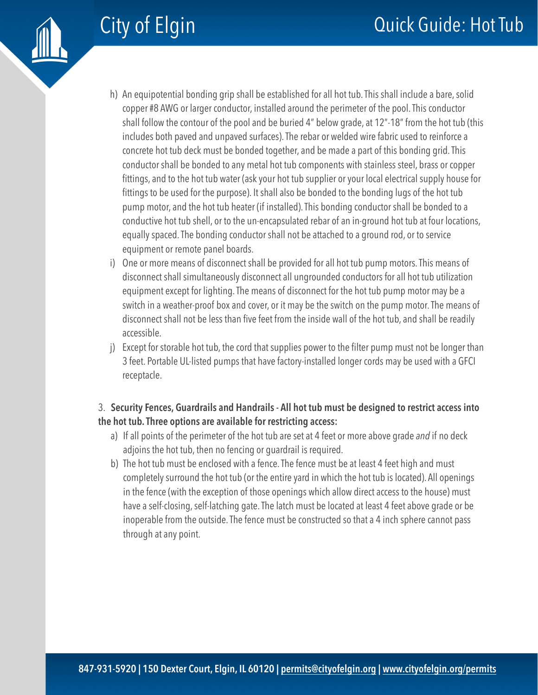

- h) An equipotential bonding grip shall be established for all hot tub. This shall include a bare, solid copper #8 AWG or larger conductor, installed around the perimeter of the pool. This conductor shall follow the contour of the pool and be buried 4" below grade, at 12"-18" from the hot tub (this includes both paved and unpaved surfaces). The rebar or welded wire fabric used to reinforce a concrete hot tub deck must be bonded together, and be made a part of this bonding grid. This conductor shall be bonded to any metal hot tub components with stainless steel, brass or copper fittings, and to the hot tub water (ask your hot tub supplier or your local electrical supply house for fittings to be used for the purpose). It shall also be bonded to the bonding lugs of the hot tub pump motor, and the hot tub heater (if installed). This bonding conductor shall be bonded to a conductive hot tub shell, or to the un-encapsulated rebar of an in-ground hot tub at four locations, equally spaced. The bonding conductor shall not be attached to a ground rod, or to service equipment or remote panel boards.
- i) One or more means of disconnect shall be provided for all hot tub pump motors. This means of disconnect shall simultaneously disconnect all ungrounded conductors for all hot tub utilization equipment except for lighting. The means of disconnect for the hot tub pump motor may be a switch in a weather-proof box and cover, or it may be the switch on the pump motor. The means of disconnect shall not be less than five feet from the inside wall of the hot tub, and shall be readily accessible.
- j) Except for storable hot tub, the cord that supplies power to the filter pump must not be longer than 3 feet. Portable UL-listed pumps that have factory-installed longer cords may be used with a GFCI receptacle.

### 3. **Security Fences, Guardrails and Handrails - All hot tub must be designed to restrict access into the hot tub. Three options are available for restricting access:**

- a) If all points of the perimeter of the hot tub are set at 4 feet or more above grade *and* if no deck adjoins the hot tub, then no fencing or guardrail is required.
- b) The hot tub must be enclosed with a fence. The fence must be at least 4 feet high and must completely surround the hot tub (or the entire yard in which the hot tub is located). All openings in the fence (with the exception of those openings which allow direct access to the house) must have a self-closing, self-latching gate. The latch must be located at least 4 feet above grade or be inoperable from the outside. The fence must be constructed so that a 4 inch sphere cannot pass through at any point.